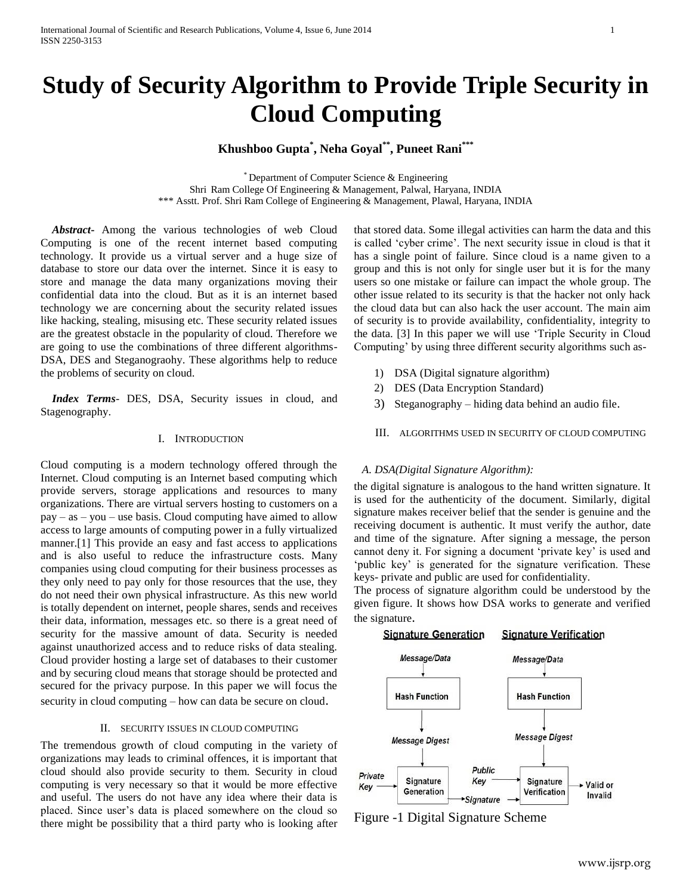# **Study of Security Algorithm to Provide Triple Security in Cloud Computing**

# **Khushboo Gupta\* , Neha Goyal\*\* , Puneet Rani\*\*\***

\* Department of Computer Science & Engineering Shri Ram College Of Engineering & Management, Palwal, Haryana, INDIA \*\*\* Asstt. Prof. Shri Ram College of Engineering & Management, Plawal, Haryana, INDIA

 *Abstract***-** Among the various technologies of web Cloud Computing is one of the recent internet based computing technology. It provide us a virtual server and a huge size of database to store our data over the internet. Since it is easy to store and manage the data many organizations moving their confidential data into the cloud. But as it is an internet based technology we are concerning about the security related issues like hacking, stealing, misusing etc. These security related issues are the greatest obstacle in the popularity of cloud. Therefore we are going to use the combinations of three different algorithms-DSA, DES and Steganograohy. These algorithms help to reduce the problems of security on cloud.

 *Index Terms*- DES, DSA, Security issues in cloud, and Stagenography.

#### I. INTRODUCTION

Cloud computing is a modern technology offered through the Internet. Cloud computing is an Internet based computing which provide servers, storage applications and resources to many organizations. There are virtual servers hosting to customers on a pay – as – you – use basis. Cloud computing have aimed to allow access to large amounts of computing power in a fully virtualized manner.[1] This provide an easy and fast access to applications and is also useful to reduce the infrastructure costs. Many companies using cloud computing for their business processes as they only need to pay only for those resources that the use, they do not need their own physical infrastructure. As this new world is totally dependent on internet, people shares, sends and receives their data, information, messages etc. so there is a great need of security for the massive amount of data. Security is needed against unauthorized access and to reduce risks of data stealing. Cloud provider hosting a large set of databases to their customer and by securing cloud means that storage should be protected and secured for the privacy purpose. In this paper we will focus the security in cloud computing – how can data be secure on cloud.

#### II. SECURITY ISSUES IN CLOUD COMPUTING

The tremendous growth of cloud computing in the variety of organizations may leads to criminal offences, it is important that cloud should also provide security to them. Security in cloud computing is very necessary so that it would be more effective and useful. The users do not have any idea where their data is placed. Since user's data is placed somewhere on the cloud so there might be possibility that a third party who is looking after

that stored data. Some illegal activities can harm the data and this is called 'cyber crime'. The next security issue in cloud is that it has a single point of failure. Since cloud is a name given to a group and this is not only for single user but it is for the many users so one mistake or failure can impact the whole group. The other issue related to its security is that the hacker not only hack the cloud data but can also hack the user account. The main aim of security is to provide availability, confidentiality, integrity to the data. [3] In this paper we will use 'Triple Security in Cloud Computing' by using three different security algorithms such as-

- 1) DSA (Digital signature algorithm)
- 2) DES (Data Encryption Standard)
- 3) Steganography hiding data behind an audio file.
- III. ALGORITHMS USED IN SECURITY OF CLOUD COMPUTING

#### *A. DSA(Digital Signature Algorithm):*

the digital signature is analogous to the hand written signature. It is used for the authenticity of the document. Similarly, digital signature makes receiver belief that the sender is genuine and the receiving document is authentic. It must verify the author, date and time of the signature. After signing a message, the person cannot deny it. For signing a document 'private key' is used and 'public key' is generated for the signature verification. These keys- private and public are used for confidentiality.

The process of signature algorithm could be understood by the given figure. It shows how DSA works to generate and verified the signature.



Figure -1 Digital Signature Scheme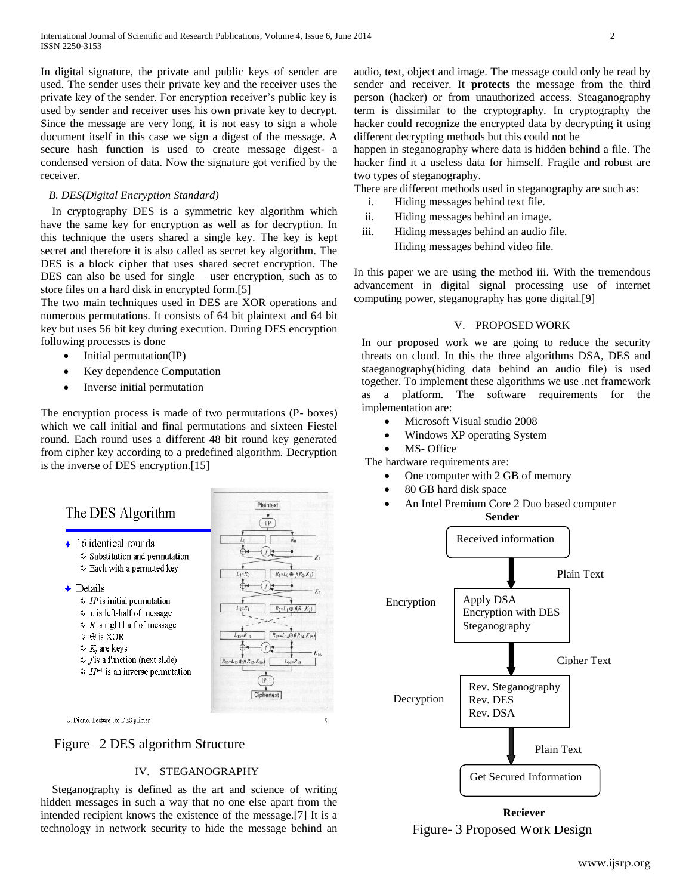In digital signature, the private and public keys of sender are used. The sender uses their private key and the receiver uses the private key of the sender. For encryption receiver's public key is used by sender and receiver uses his own private key to decrypt. Since the message are very long, it is not easy to sign a whole document itself in this case we sign a digest of the message. A secure hash function is used to create message digest- a condensed version of data. Now the signature got verified by the receiver.

### *B. DES(Digital Encryption Standard)*

 In cryptography DES is a symmetric key algorithm which have the same key for encryption as well as for decryption. In this technique the users shared a single key. The key is kept secret and therefore it is also called as secret key algorithm. The DES is a block cipher that uses shared secret encryption. The DES can also be used for single – user encryption, such as to store files on a hard disk in encrypted form.[5]

The two main techniques used in DES are XOR operations and numerous permutations. It consists of 64 bit plaintext and 64 bit key but uses 56 bit key during execution. During DES encryption following processes is done

- $\bullet$  Initial permutation(IP)
- Key dependence Computation
- Inverse initial permutation

The encryption process is made of two permutations (P- boxes) which we call initial and final permutations and sixteen Fiestel round. Each round uses a different 48 bit round key generated from cipher key according to a predefined algorithm. Decryption is the inverse of DES encryption.[15]

# The DES Algorithm

- $\leftarrow$  16 identical rounds  $\Leftrightarrow$  Substitution and permutation
	- $\Leftrightarrow$  Each with a permuted key
- $\leftarrow$  Details
	- $\Rightarrow$  *IP* is initial permutation
	- $\Diamond$  L is left-half of message
	- $\Diamond$  R is right half of message
	- $\Diamond$   $\oplus$  is XOR
	- $\Diamond K_i$  are keys
	- $\Diamond$  f is a function (next slide)
	- $\Rightarrow IP^{-1}$  is an inverse permutation

Plaintext  $\frac{1}{1}$  $\int$  $R_1=L_0\oplus f(R_0,K_1)$  $R_{16} = L_{15} \oplus f(R_{15}, K_{16})$  $($  IP  $\cdot$  I Ciphertext

C. Diorio. Lecture 16: DES primer



# IV. STEGANOGRAPHY

 Steganography is defined as the art and science of writing hidden messages in such a way that no one else apart from the intended recipient knows the existence of the message.[7] It is a technology in network security to hide the message behind an audio, text, object and image. The message could only be read by sender and receiver. It **protects** the message from the third person (hacker) or from unauthorized access. Steaganography term is dissimilar to the cryptography. In cryptography the hacker could recognize the encrypted data by decrypting it using different decrypting methods but this could not be

happen in steganography where data is hidden behind a file. The hacker find it a useless data for himself. Fragile and robust are two types of steganography.

There are different methods used in steganography are such as:

- i. Hiding messages behind text file.
- ii. Hiding messages behind an image.
- iii. Hiding messages behind an audio file. Hiding messages behind video file.

In this paper we are using the method iii. With the tremendous advancement in digital signal processing use of internet computing power, steganography has gone digital.[9]

# V. PROPOSED WORK

In our proposed work we are going to reduce the security threats on cloud. In this the three algorithms DSA, DES and staeganography(hiding data behind an audio file) is used together. To implement these algorithms we use .net framework as a platform. The software requirements for the implementation are:

- Microsoft Visual studio 2008
- Windows XP operating System
- MS- Office
- The hardware requirements are:
	- One computer with 2 GB of memory
	- 80 GB hard disk space
	- An Intel Premium Core 2 Duo based computer **Sender**



Figure- 3 Proposed Work Design **Reciever**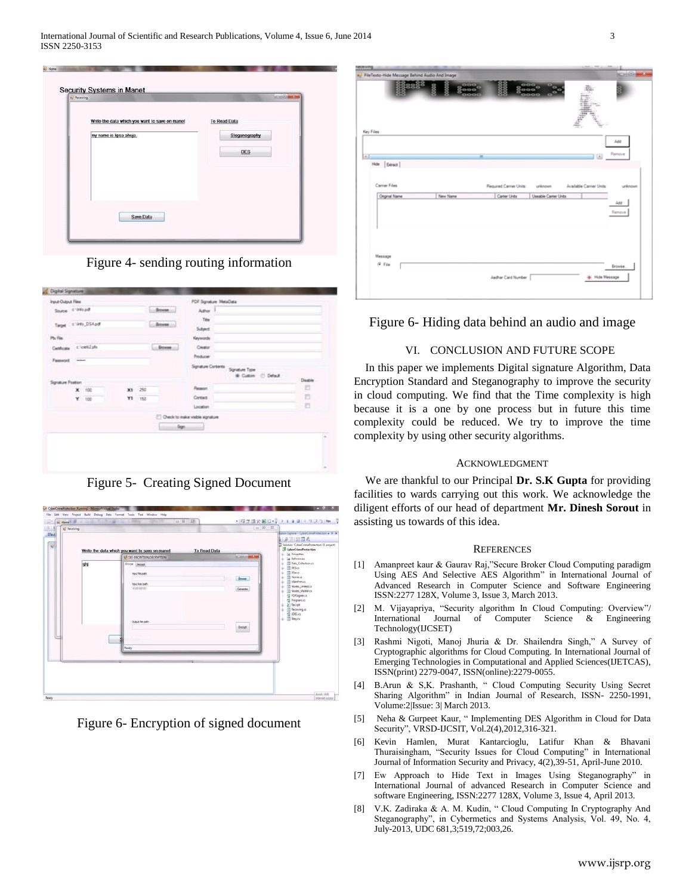

Figure 4- sending routing information

| Input-Output Files |               |                      |       |        |                      | PDF Signature MetaData       |                                                       |         |
|--------------------|---------------|----------------------|-------|--------|----------------------|------------------------------|-------------------------------------------------------|---------|
| Source: 4 Would    |               |                      |       |        | <b>Browne</b><br>is. | Author.                      |                                                       |         |
|                    |               | Taget C Clinto_DSApd |       |        | - from               | Téx<br>Subject               |                                                       |         |
| Ptx File:          |               |                      |       |        |                      | Keywords                     |                                                       |         |
| Cettlicate         |               | clost2ph             |       |        | <b>Browns</b>        | Creatur                      |                                                       |         |
| <b>Password</b>    | <b>CARDON</b> |                      |       |        |                      | Producer                     |                                                       |         |
|                    |               |                      |       |        |                      |                              | Spratue Contents Signature Type<br>@ Custom @ Default | Disable |
| Signature Foston   | ×             | $+100$               | $x_3$ | $-250$ |                      | Reason                       |                                                       | Ð       |
|                    | ¥             | 100                  | Y١    | 150    |                      | Cartact                      |                                                       | Ð       |
|                    |               |                      |       |        |                      | Location                     |                                                       | 四       |
|                    |               |                      |       |        |                      | Check to make valde agrature |                                                       |         |
|                    |               |                      |       |        | lign.                |                              |                                                       |         |
|                    |               |                      |       |        |                      |                              |                                                       |         |
|                    |               |                      |       |        |                      |                              |                                                       |         |
|                    |               |                      |       |        |                      |                              |                                                       |         |
|                    |               |                      |       |        |                      |                              |                                                       |         |

Figure 5- Creating Signed Document



Figure 6- Encryption of signed document

| a PileTexto-Hide Message Behind Audio And Image |                     |                         |                       |                         | <b>ACTIVITY</b> |
|-------------------------------------------------|---------------------|-------------------------|-----------------------|-------------------------|-----------------|
| 122                                             |                     |                         |                       |                         |                 |
|                                                 | $\frac{000}{000}$ o |                         | 8880                  |                         |                 |
|                                                 | <b>OOC</b>          |                         | 3000                  |                         |                 |
|                                                 |                     |                         |                       |                         |                 |
|                                                 |                     |                         |                       |                         |                 |
|                                                 |                     |                         |                       |                         |                 |
| Key Files                                       |                     |                         |                       |                         |                 |
|                                                 |                     |                         |                       |                         | Add             |
|                                                 |                     |                         |                       |                         |                 |
|                                                 |                     | $\overline{a}$          |                       | $\boxed{3}$             | Remove          |
| Hde   Edract                                    |                     |                         |                       |                         |                 |
|                                                 |                     |                         |                       |                         |                 |
|                                                 |                     |                         |                       |                         |                 |
|                                                 |                     |                         |                       |                         |                 |
|                                                 |                     |                         |                       |                         |                 |
| Carrier Files                                   |                     | Required Carrier Units: | unknown               | Available Carrier Units |                 |
| Original Name                                   | New Name            | Carter Units            | Useable Carrier Units |                         |                 |
|                                                 |                     |                         |                       |                         | unknown<br>Add  |
|                                                 |                     |                         |                       |                         | Renove          |
|                                                 |                     |                         |                       |                         |                 |
|                                                 |                     |                         |                       |                         |                 |
|                                                 |                     |                         |                       |                         |                 |
|                                                 |                     |                         |                       |                         |                 |
| Message                                         |                     |                         |                       |                         |                 |
|                                                 |                     |                         |                       |                         |                 |
| G För                                           |                     |                         |                       |                         | Browse.         |
|                                                 |                     | Aadhar Card Number      |                       | + Hide Message          |                 |

# Figure 6- Hiding data behind an audio and image

# VI. CONCLUSION AND FUTURE SCOPE

In this paper we implements Digital signature Algorithm, Data Encryption Standard and Steganography to improve the security in cloud computing. We find that the Time complexity is high because it is a one by one process but in future this time complexity could be reduced. We try to improve the time complexity by using other security algorithms.

#### ACKNOWLEDGMENT

We are thankful to our Principal **Dr. S.K Gupta** for providing facilities to wards carrying out this work. We acknowledge the diligent efforts of our head of department **Mr. Dinesh Sorout** in assisting us towards of this idea.

#### **REFERENCES**

- [1] Amanpreet kaur & Gaurav Raj,"Secure Broker Cloud Computing paradigm Using AES And Selective AES Algorithm" in International Journal of Advanced Research in Computer Science and Software Engineering ISSN:2277 128X, Volume 3, Issue 3, March 2013.
- [2] M. Vijayapriya, "Security algorithm In Cloud Computing: Overview"/ International Journal of Computer Science & Engineering Technology(IJCSET)
- [3] Rashmi Nigoti, Manoj Jhuria & Dr. Shailendra Singh," A Survey of Cryptographic algorithms for Cloud Computing. In International Journal of Emerging Technologies in Computational and Applied Sciences(IJETCAS), ISSN(print) 2279-0047, ISSN(online):2279-0055.
- [4] B.Arun & S,K. Prashanth, " Cloud Computing Security Using Secret Sharing Algorithm" in Indian Journal of Research, ISSN- 2250-1991, Volume:2|Issue: 3| March 2013.
- [5] Neha & Gurpeet Kaur, " Implementing DES Algorithm in Cloud for Data Security", VRSD-IJCSIT, Vol.2(4),2012,316-321.
- [6] Kevin Hamlen, Murat Kantarcioglu, Latifur Khan & Bhavani Thuraisingham, "Security Issues for Cloud Computing" in International Journal of Information Security and Privacy, 4(2),39-51, April-June 2010.
- [7] Ew Approach to Hide Text in Images Using Steganography" in International Journal of advanced Research in Computer Science and software Engineering, ISSN:2277 128X, Volume 3, Issue 4, April 2013.
- [8] V.K. Zadiraka & A. M. Kudin, " Cloud Computing In Cryptography And Steganography", in Cybermetics and Systems Analysis, Vol. 49, No. 4, July-2013, UDC 681,3;519,72;003,26.